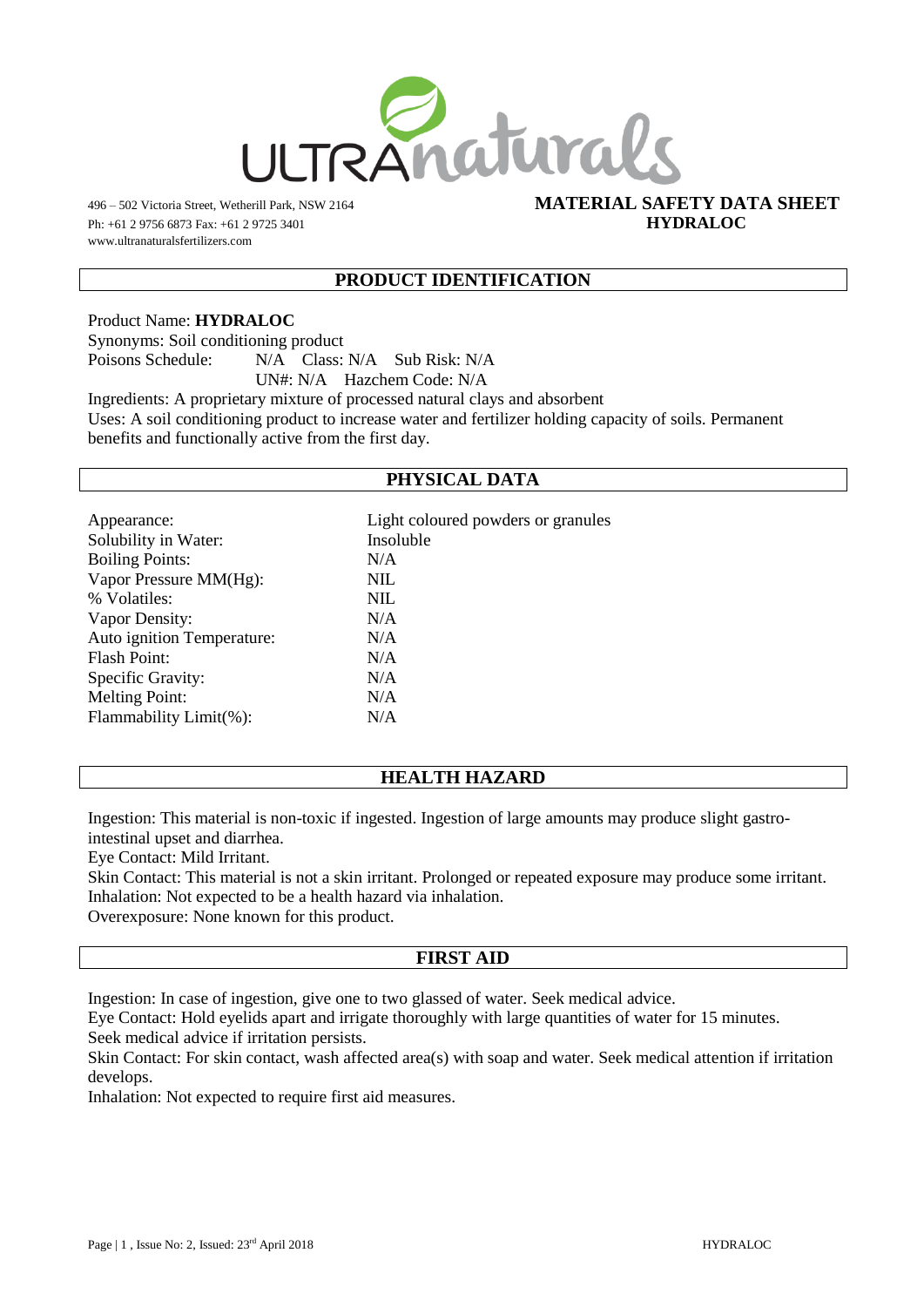

Ph: +61 2 9756 6873 Fax: +61 2 9725 3401 **HYDRALOC** www.ultranaturalsfertilizers.com

# 496 – 502 Victoria Street, Wetherill Park, NSW 2164 **MATERIAL SAFETY DATA SHEET**

# **PRODUCT IDENTIFICATION**

Product Name: **HYDRALOC** Synonyms: Soil conditioning product Poisons Schedule: N/A Class: N/A Sub Risk: N/A UN#: N/A Hazchem Code: N/A Ingredients: A proprietary mixture of processed natural clays and absorbent Uses: A soil conditioning product to increase water and fertilizer holding capacity of soils. Permanent

benefits and functionally active from the first day.

# **PHYSICAL DATA**

| Appearance:                | Light coloured powders or granules |
|----------------------------|------------------------------------|
| Solubility in Water:       | Insoluble                          |
| <b>Boiling Points:</b>     | N/A                                |
| Vapor Pressure MM(Hg):     | <b>NIL</b>                         |
| % Volatiles:               | <b>NIL</b>                         |
| Vapor Density:             | N/A                                |
| Auto ignition Temperature: | N/A                                |
| Flash Point:               | N/A                                |
| Specific Gravity:          | N/A                                |
| <b>Melting Point:</b>      | N/A                                |
| Flammability Limit(%):     | N/A                                |
|                            |                                    |

# **HEALTH HAZARD**

Ingestion: This material is non-toxic if ingested. Ingestion of large amounts may produce slight gastrointestinal upset and diarrhea.

Eye Contact: Mild Irritant.

Skin Contact: This material is not a skin irritant. Prolonged or repeated exposure may produce some irritant. Inhalation: Not expected to be a health hazard via inhalation.

Overexposure: None known for this product.

#### **FIRST AID**

Ingestion: In case of ingestion, give one to two glassed of water. Seek medical advice.

Eye Contact: Hold eyelids apart and irrigate thoroughly with large quantities of water for 15 minutes. Seek medical advice if irritation persists.

Skin Contact: For skin contact, wash affected area(s) with soap and water. Seek medical attention if irritation develops.

Inhalation: Not expected to require first aid measures.